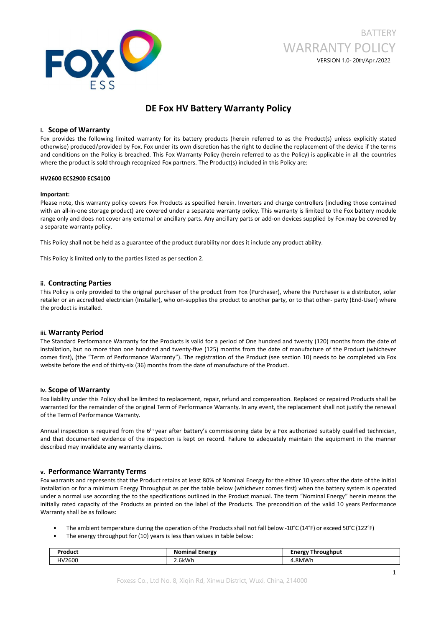

# **BATTERY** WARRANTY POLICY VERSION 1.0- 20th/Apr./2022

## **DE Fox HV Battery Warranty Policy**

### **i. Scope of Warranty**

Fox provides the following limited warranty for its battery products (herein referred to as the Product(s) unless explicitly stated otherwise) produced/provided by Fox. Fox under its own discretion has the right to decline the replacement of the device if the terms and conditions on the Policy is breached. This Fox Warranty Policy (herein referred to as the Policy) is applicable in all the countries where the product is sold through recognized Fox partners. The Product(s) included in this Policy are:

### **HV2600 ECS2900 ECS4100**

#### **Important:**

Please note, this warranty policy covers Fox Products as specified herein. Inverters and charge controllers (including those contained with an all-in-one storage product) are covered under a separate warranty policy. This warranty is limited to the Fox battery module range only and does not cover any external or ancillary parts. Any ancillary parts or add-on devices supplied by Fox may be covered by a separate warranty policy.

This Policy shall not be held as a guarantee of the product durability nor does it include any product ability.

This Policy is limited only to the parties listed as per section 2.

### **ii. Contracting Parties**

This Policy is only provided to the original purchaser of the product from Fox (Purchaser), where the Purchaser is a distributor, solar retailer or an accredited electrician (Installer), who on-supplies the product to another party, or to that other- party (End-User) where the product is installed.

### **iii. Warranty Period**

The Standard Performance Warranty for the Products is valid for a period of One hundred and twenty (120) months from the date of installation, but no more than one hundred and twenty-five (125) months from the date of manufacture of the Product (whichever comes first), (the "Term of Performance Warranty"). The registration of the Product (see section 10) needs to be completed via Fox website before the end of thirty-six (36) months from the date of manufacture of the Product.

### **iv. Scope of Warranty**

Fox liability under this Policy shall be limited to replacement, repair, refund and compensation. Replaced or repaired Products shall be warranted for the remainder of the original Term of Performance Warranty. In any event, the replacement shall not justify the renewal of the Term of Performance Warranty.

Annual inspection is required from the 6<sup>th</sup> year after battery's commissioning date by a Fox authorized suitably qualified technician, and that documented evidence of the inspection is kept on record. Failure to adequately maintain the equipment in the manner described may invalidate any warranty claims.

### **v. Performance Warranty Terms**

Fox warrants and represents that the Product retains atleast 80% of Nominal Energy for the either 10 years after the date of the initial installation or for a minimum Energy Throughput as per the table below (whichever comes first) when the battery system is operated under a normal use according the to the specifications outlined in the Product manual. The term "Nominal Energy" herein means the initially rated capacity of the Products as printed on the label of the Products. The precondition of the valid 10 years Performance Warranty shall be as follows:

- The ambient temperature during the operation of the Products shall not fall below -10°C (14°F) or exceed 50°C (122°F)
- The energy throughput for (10) years is less than values in table below:

| oduci       | $ -$<br>$  -$<br>narov<br>Nı | ughput<br>$~\cdot$ rav<br>пг<br>. |
|-------------|------------------------------|-----------------------------------|
| 2600<br>4V1 | 6kW                          | <b>RMWI</b>                       |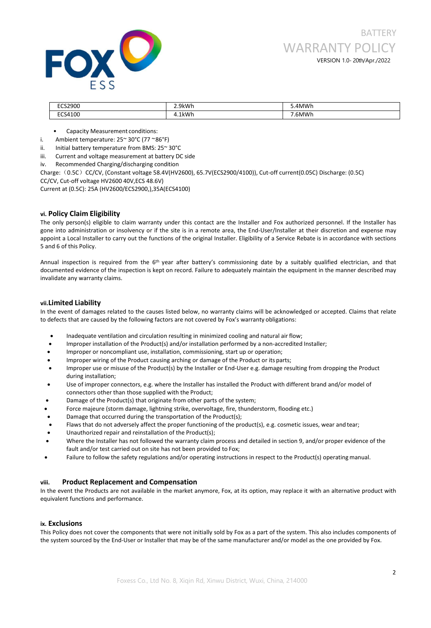

| 2900             | 2.9kWh      | 'MWh        |
|------------------|-------------|-------------|
| 4100<br>╰<br>___ | LkWh<br>. . | <b>6MWK</b> |

- Capacity Measurement conditions:
- i. Ambient temperature: 25~ 30°C (77 ~86°F)
- ii. Initial battery temperature from BMS: 25~ 30°C
- iii. Current and voltage measurement at battery DC side
- iv. Recommended Charging/discharging condition

Charge:(0.5C)CC/CV, (Constant voltage 58.4V(HV2600), 65.7V(ECS2900/4100)), Cut-off current(0.05C) Discharge: (0.5C) CC/CV, Cut-off voltage HV2600 40V,ECS 48.6V)

Current at (0.5C): 25A (HV2600/ECS2900,),35A(ECS4100)

### **vi. Policy Claim Eligibility**

The only person(s) eligible to claim warranty under this contact are the Installer and Fox authorized personnel. If the Installer has gone into administration or insolvency or ifthe site is in a remote area, the End-User/Installer at their discretion and expense may appoint a Local Installer to carry out the functions of the original Installer. Eligibility of a Service Rebate is in accordance with sections 5 and 6 of this Policy.

Annual inspection is required from the 6<sup>th</sup> year after battery's commissioning date by a suitably qualified electrician, and that documented evidence of the inspection is kept on record. Failure to adequately maintain the equipment in the manner described may invalidate any warranty claims.

### **vii.Limited Liability**

In the event of damages related to the causes listed below, no warranty claims will be acknowledged or accepted. Claims that relate to defects that are caused by the following factors are not covered by Fox's warranty obligations:

- Inadequate ventilation and circulation resulting in minimized cooling and natural airflow;
- Improper installation of the Product(s) and/or installation performed by a non-accredited Installer;
- Improper or noncompliant use, installation, commissioning, start up or operation;
- Improper wiring of the Product causing arching or damage of the Product or its parts;
- Improper use or misuse of the Product(s) by the Installer or End-User e.g. damage resulting from dropping the Product during installation;
- Use of improper connectors, e.g. where the Installer has installed the Product with different brand and/or model of connectors other than those supplied with the Product;
- Damage of the Product(s) that originate from other parts of the system;
- Force majeure (storm damage, lightning strike, overvoltage, fire, thunderstorm, flooding etc.)
- Damage that occurred during the transportation of the Product(s);
- Flaws that do not adversely affect the proper functioning of the product(s), e.g. cosmetic issues, wear and tear;
- Unauthorized repair and reinstallation of the Product(s);
- Where the Installer has not followed the warranty claim process and detailed in section 9, and/or proper evidence of the fault and/or test carried out on site has not been provided to Fox;
- Failure to follow the safety regulations and/or operating instructions in respect to the Product(s) operating manual.

### **viii. Product Replacement and Compensation**

In the event the Products are not available in the market anymore, Fox, at its option, may replace it with an alternative product with equivalent functions and performance.

### **ix. Exclusions**

This Policy does not cover the components that were not initially sold by Fox as a part of the system. This also includes components of the system sourced by the End-User or Installer that may be of the same manufacturer and/or model as the one provided by Fox.